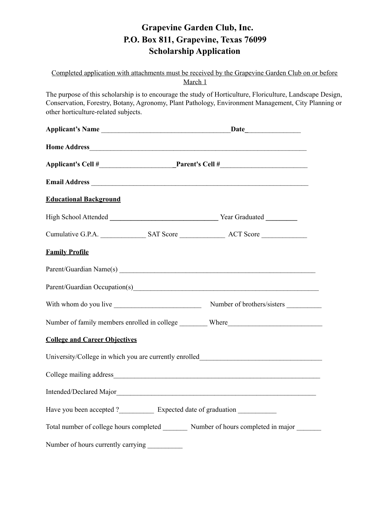# **Grapevine Garden Club, Inc. P.O. Box 811, Grapevine, Texas 76099 Scholarship Application**

Completed application with attachments must be received by the Grapevine Garden Club on or before March 1

The purpose of this scholarship is to encourage the study of Horticulture, Floriculture, Landscape Design, Conservation, Forestry, Botany, Agronomy, Plant Pathology, Environment Management, City Planning or other horticulture-related subjects.

| <b>Educational Background</b>                                                    |  |                                                                                              |
|----------------------------------------------------------------------------------|--|----------------------------------------------------------------------------------------------|
|                                                                                  |  |                                                                                              |
|                                                                                  |  |                                                                                              |
| <b>Family Profile</b>                                                            |  |                                                                                              |
|                                                                                  |  |                                                                                              |
|                                                                                  |  |                                                                                              |
|                                                                                  |  |                                                                                              |
| Number of family members enrolled in college _________ Where____________________ |  |                                                                                              |
| <b>College and Career Objectives</b>                                             |  |                                                                                              |
|                                                                                  |  | University/College in which you are currently enrolled__________________________             |
|                                                                                  |  |                                                                                              |
|                                                                                  |  |                                                                                              |
|                                                                                  |  | Have you been accepted ?_________________ Expected date of graduation ___________            |
|                                                                                  |  | Total number of college hours completed _________ Number of hours completed in major _______ |
| Number of hours currently carrying ___________                                   |  |                                                                                              |